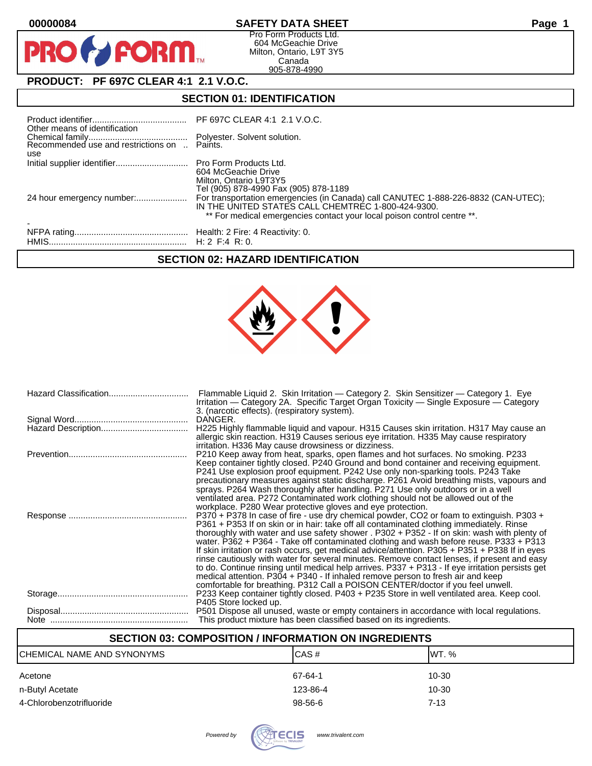$\mathbf O$ 

PR

# **00000084 SAFETY DATA SHEET Page 1**

Pro Form Products Ltd. 604 McGeachie Drive Milton, Ontario, L9T 3Y5 Canada 905-878-4990

# **PRODUCT: PF 697C CLEAR 4:1 2.1 V.O.C.**

**FORM** 

# **SECTION 01: IDENTIFICATION**

| Other means of identification |                                                                                                                                                                                                                     |
|-------------------------------|---------------------------------------------------------------------------------------------------------------------------------------------------------------------------------------------------------------------|
| use                           |                                                                                                                                                                                                                     |
|                               | 604 McGeachie Drive<br>Milton, Ontario L9T3Y5<br>Tel (905) 878-4990 Fax (905) 878-1189                                                                                                                              |
|                               | For transportation emergencies (in Canada) call CANUTEC 1-888-226-8832 (CAN-UTEC);<br>IN THE UNITED STATES CALL CHEMTREC 1-800-424-9300.<br>** For medical emergencies contact your local poison control centre **. |
|                               |                                                                                                                                                                                                                     |

# **SECTION 02: HAZARD IDENTIFICATION**



| Flammable Liquid 2. Skin Irritation — Category 2. Skin Sensitizer — Category 1. Eye<br>Irritation — Category 2A. Specific Target Organ Toxicity — Single Exposure — Category<br>3. (narcotic effects). (respiratory system).                                                                                                                                                                                                                                                                                                                                                                                                                                                                                                                                                                                                                             |
|----------------------------------------------------------------------------------------------------------------------------------------------------------------------------------------------------------------------------------------------------------------------------------------------------------------------------------------------------------------------------------------------------------------------------------------------------------------------------------------------------------------------------------------------------------------------------------------------------------------------------------------------------------------------------------------------------------------------------------------------------------------------------------------------------------------------------------------------------------|
| DANGER.                                                                                                                                                                                                                                                                                                                                                                                                                                                                                                                                                                                                                                                                                                                                                                                                                                                  |
| H225 Highly flammable liquid and vapour. H315 Causes skin irritation. H317 May cause an<br>allergic skin reaction. H319 Causes serious eye irritation. H335 May cause respiratory<br>irritation. H336 May cause drowsiness or dizziness.                                                                                                                                                                                                                                                                                                                                                                                                                                                                                                                                                                                                                 |
| P210 Keep away from heat, sparks, open flames and hot surfaces. No smoking. P233<br>Keep container tightly closed. P240 Ground and bond container and receiving equipment.<br>P241 Use explosion proof equipment. P242 Use only non-sparking tools. P243 Take<br>precautionary measures against static discharge. P261 Avoid breathing mists, vapours and<br>sprays. P264 Wash thoroughly after handling. P271 Use only outdoors or in a well<br>ventilated area. P272 Contaminated work clothing should not be allowed out of the<br>workplace. P280 Wear protective gloves and eye protection.                                                                                                                                                                                                                                                         |
| P370 + P378 In case of fire - use dry chemical powder, CO2 or foam to extinguish. P303 +<br>P361 + P353 If on skin or in hair: take off all contaminated clothing immediately. Rinse<br>thoroughly with water and use safety shower . P302 + P352 - If on skin: wash with plenty of<br>water. P362 + P364 - Take off contaminated clothing and wash before reuse. P333 + P313<br>If skin irritation or rash occurs, get medical advice/attention. P305 + P351 + P338 If in eyes<br>rinse cautiously with water for several minutes. Remove contact lenses, if present and easy<br>to do. Continue rinsing until medical help arrives. P337 + P313 - If eye irritation persists get<br>medical attention. P304 + P340 - If inhaled remove person to fresh air and keep<br>comfortable for breathing. P312 Call a POISON CENTER/doctor if you feel unwell. |
| P233 Keep container tightly closed. P403 + P235 Store in well ventilated area. Keep cool.<br>P405 Store locked up.                                                                                                                                                                                                                                                                                                                                                                                                                                                                                                                                                                                                                                                                                                                                       |
| P501 Dispose all unused, waste or empty containers in accordance with local regulations.<br>This product mixture has been classified based on its ingredients.                                                                                                                                                                                                                                                                                                                                                                                                                                                                                                                                                                                                                                                                                           |

# **SECTION 03: COMPOSITION / INFORMATION ON INGREDIENTS**

| CHEMICAL NAME AND SYNONYMS | ICAS#    | IWT. % |
|----------------------------|----------|--------|
| Acetone                    | 67-64-1  | 10-30  |
| n-Butyl Acetate            | 123-86-4 | 10-30  |
| 4-Chlorobenzotrifluoride   | 98-56-6  | 7-13   |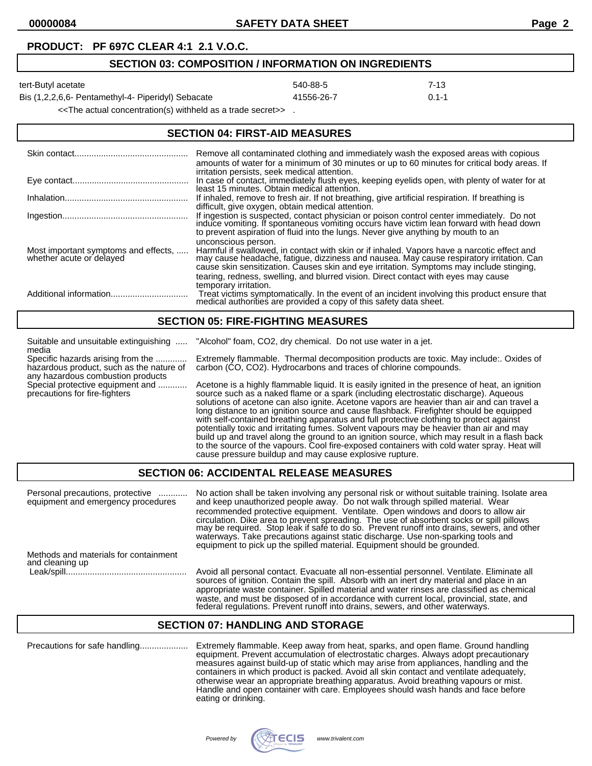### **PRODUCT: PF 697C CLEAR 4:1 2.1 V.O.C.**

### **SECTION 03: COMPOSITION / INFORMATION ON INGREDIENTS**

tert-Butyl acetate 540-88-5 7-13

Bis (1,2,2,6,6- Pentamethyl-4- Piperidyl) Sebacate 41556-26-7 0.1-1

<<The actual concentration(s) withheld as a trade secret>> .

## **SECTION 04: FIRST-AID MEASURES**

|                                                                  | Remove all contaminated clothing and immediately wash the exposed areas with copious<br>amounts of water for a minimum of 30 minutes or up to 60 minutes for critical body areas. If<br>irritation persists, seek medical attention.                                                                                                                                                             |
|------------------------------------------------------------------|--------------------------------------------------------------------------------------------------------------------------------------------------------------------------------------------------------------------------------------------------------------------------------------------------------------------------------------------------------------------------------------------------|
|                                                                  | In case of contact, immediately flush eyes, keeping eyelids open, with plenty of water for at<br>least 15 minutes. Obtain medical attention.                                                                                                                                                                                                                                                     |
|                                                                  | If inhaled, remove to fresh air. If not breathing, give artificial respiration. If breathing is<br>difficult, give oxygen, obtain medical attention.                                                                                                                                                                                                                                             |
|                                                                  | If ingestion is suspected, contact physician or poison control center immediately. Do not induce vomiting. If spontaneous vomiting occurs have victim lean forward with head down<br>to prevent aspiration of fluid into the lungs. Never give anything by mouth to an                                                                                                                           |
| Most important symptoms and effects,<br>whether acute or delayed | unconscious person.<br>Harmful if swallowed, in contact with skin or if inhaled. Vapors have a narcotic effect and<br>may cause headache, fatigue, dizziness and nausea. May cause respiratory irritation. Can<br>cause skin sensitization. Causes skin and eye irritation. Symptoms may include stinging,<br>tearing, redness, swelling, and blurred vision. Direct contact with eyes may cause |
|                                                                  | temporary irritation.<br>Treat victims symptomatically. In the event of an incident involving this product ensure that medical authorities are provided a copy of this safety data sheet.                                                                                                                                                                                                        |

### **SECTION 05: FIRE-FIGHTING MEASURES**

| Suitable and unsuitable extinguishing<br>media                                                                     | "Alcohol" foam, CO2, dry chemical. Do not use water in a jet.                                                                                                                                                                                                                                                                                                                                                                                                                                                                                                                                                                                                                                                                                                                                                                    |
|--------------------------------------------------------------------------------------------------------------------|----------------------------------------------------------------------------------------------------------------------------------------------------------------------------------------------------------------------------------------------------------------------------------------------------------------------------------------------------------------------------------------------------------------------------------------------------------------------------------------------------------------------------------------------------------------------------------------------------------------------------------------------------------------------------------------------------------------------------------------------------------------------------------------------------------------------------------|
| Specific hazards arising from the<br>hazardous product, such as the nature of<br>any hazardous combustion products | Extremely flammable. Thermal decomposition products are toxic. May include: Oxides of<br>carbon (CO, CO2). Hydrocarbons and traces of chlorine compounds.                                                                                                                                                                                                                                                                                                                                                                                                                                                                                                                                                                                                                                                                        |
| Special protective equipment and<br>precautions for fire-fighters                                                  | Acetone is a highly flammable liquid. It is easily ignited in the presence of heat, an ignition<br>source such as a naked flame or a spark (including electrostatic discharge). Aqueous<br>solutions of acetone can also ignite. Acetone vapors are heavier than air and can travel a<br>long distance to an ignition source and cause flashback. Firefighter should be equipped<br>with self-contained breathing apparatus and full protective clothing to protect against<br>potentially toxic and irritating fumes. Solvent vapours may be heavier than air and may<br>build up and travel along the ground to an ignition source, which may result in a flash back<br>to the source of the vapours. Cool fire-exposed containers with cold water spray. Heat will<br>cause pressure buildup and may cause explosive rupture. |

## **SECTION 06: ACCIDENTAL RELEASE MEASURES**

| Personal precautions, protective<br>.<br>equipment and emergency procedures | No action shall be taken involving any personal risk or without suitable training. Isolate area<br>and keep unauthorized people away. Do not walk through spilled material. Wear<br>recommended protective equipment. Ventilate. Open windows and doors to allow air<br>circulation. Dike area to prevent spreading. The use of absorbent socks or spill pillows<br>may be required. Stop leak if safe to do so. Prevent runoff into drains, sewers, and other<br>waterways. Take precautions against static discharge. Use non-sparking tools and<br>equipment to pick up the spilled material. Equipment should be grounded. |
|-----------------------------------------------------------------------------|--------------------------------------------------------------------------------------------------------------------------------------------------------------------------------------------------------------------------------------------------------------------------------------------------------------------------------------------------------------------------------------------------------------------------------------------------------------------------------------------------------------------------------------------------------------------------------------------------------------------------------|
| Methods and materials for containment<br>and cleaning up                    |                                                                                                                                                                                                                                                                                                                                                                                                                                                                                                                                                                                                                                |
| Leak/spill                                                                  | Avoid all personal contact. Evacuate all non-essential personnel. Ventilate. Eliminate all<br>sources of ignition. Contain the spill. Absorb with an inert dry material and place in an<br>appropriate waste container. Spilled material and water rinses are classified as chemical<br>waste, and must be disposed of in accordance with current local, provincial, state, and<br>federal regulations. Prevent runoff into drains, sewers, and other waterways.                                                                                                                                                               |

### **SECTION 07: HANDLING AND STORAGE**

Precautions for safe handling.................... Extremely flammable. Keep away from heat, sparks, and open flame. Ground handling equipment. Prevent accumulation of electrostatic charges. Always adopt precautionary measures against build-up of static which may arise from appliances, handling and the containers in which product is packed. Avoid all skin contact and ventilate adequately, otherwise wear an appropriate breathing apparatus. Avoid breathing vapours or mist. Handle and open container with care. Employees should wash hands and face before eating or drinking.

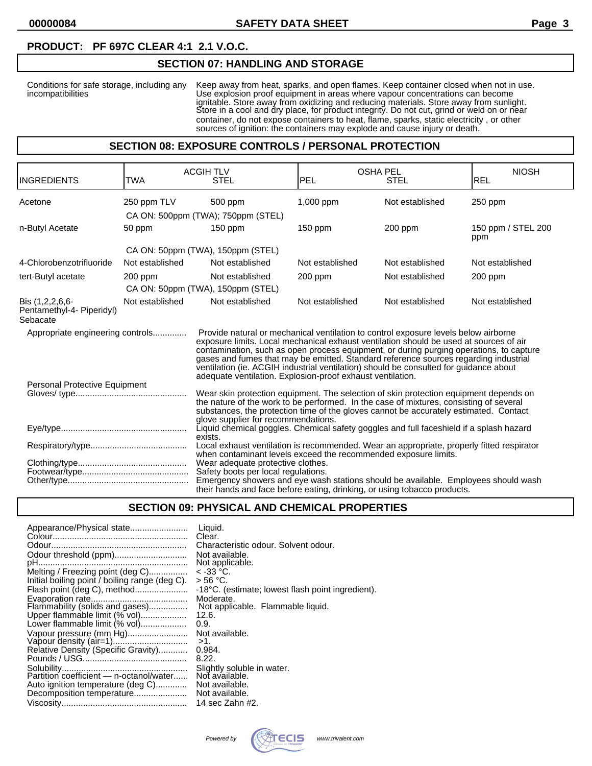## **PRODUCT: PF 697C CLEAR 4:1 2.1 V.O.C.**

### **SECTION 07: HANDLING AND STORAGE**

Conditions for safe storage, including any Keep away from heat, sparks, and open flames. Keep container closed when not in use. incompatibilities Use explosion proof equipment in areas where vapour concentrations can become ignitable. Store away from oxidizing and reducing materials. Store away from sunlight. Store in a cool and dry place, for product integrity. Do not cut, grind or weld on or near container, do not expose containers to heat, flame, sparks, static electricity , or other sources of ignition: the containers may explode and cause injury or death.

#### **SECTION 08: EXPOSURE CONTROLS / PERSONAL PROTECTION**

| <b>INGREDIENTS</b>                                                                                                                                             | TWA             | <b>ACGIH TLV</b><br><b>STEL</b>                                                                                                                                                                                                                                                                                                                                                                                                                                                                                         | <b>PEL</b>      | <b>OSHA PEL</b><br>STEL | <b>NIOSH</b><br><b>REL</b> |
|----------------------------------------------------------------------------------------------------------------------------------------------------------------|-----------------|-------------------------------------------------------------------------------------------------------------------------------------------------------------------------------------------------------------------------------------------------------------------------------------------------------------------------------------------------------------------------------------------------------------------------------------------------------------------------------------------------------------------------|-----------------|-------------------------|----------------------------|
| Acetone                                                                                                                                                        | 250 ppm TLV     | 500 ppm                                                                                                                                                                                                                                                                                                                                                                                                                                                                                                                 | 1,000 ppm       | Not established         | 250 ppm                    |
|                                                                                                                                                                |                 | CA ON: 500ppm (TWA); 750ppm (STEL)                                                                                                                                                                                                                                                                                                                                                                                                                                                                                      |                 |                         |                            |
| n-Butyl Acetate                                                                                                                                                | 50 ppm          | $150$ ppm                                                                                                                                                                                                                                                                                                                                                                                                                                                                                                               | $150$ ppm       | 200 ppm                 | 150 ppm / STEL 200<br>ppm  |
|                                                                                                                                                                |                 | CA ON: 50ppm (TWA), 150ppm (STEL)                                                                                                                                                                                                                                                                                                                                                                                                                                                                                       |                 |                         |                            |
| 4-Chlorobenzotrifluoride                                                                                                                                       | Not established | Not established                                                                                                                                                                                                                                                                                                                                                                                                                                                                                                         | Not established | Not established         | Not established            |
| tert-Butyl acetate                                                                                                                                             | $200$ ppm       | Not established                                                                                                                                                                                                                                                                                                                                                                                                                                                                                                         | $200$ ppm       | Not established         | 200 ppm                    |
|                                                                                                                                                                |                 | CA ON: 50ppm (TWA), 150ppm (STEL)                                                                                                                                                                                                                                                                                                                                                                                                                                                                                       |                 |                         |                            |
| Bis (1,2,2,6,6-<br>Pentamethyl-4- Piperidyl)<br>Sebacate                                                                                                       | Not established | Not established                                                                                                                                                                                                                                                                                                                                                                                                                                                                                                         | Not established | Not established         | Not established            |
| Appropriate engineering controls                                                                                                                               |                 | Provide natural or mechanical ventilation to control exposure levels below airborne<br>exposure limits. Local mechanical exhaust ventilation should be used at sources of air<br>contamination, such as open process equipment, or during purging operations, to capture<br>gases and fumes that may be emitted. Standard reference sources regarding industrial<br>ventilation (ie. ACGIH industrial ventilation) should be consulted for guidance about<br>adequate ventilation. Explosion-proof exhaust ventilation. |                 |                         |                            |
| Personal Protective Equipment                                                                                                                                  |                 | Wear skin protection equipment. The selection of skin protection equipment depends on                                                                                                                                                                                                                                                                                                                                                                                                                                   |                 |                         |                            |
|                                                                                                                                                                |                 | the nature of the work to be performed. In the case of mixtures, consisting of several<br>substances, the protection time of the gloves cannot be accurately estimated. Contact<br>glove supplier for recommendations.                                                                                                                                                                                                                                                                                                  |                 |                         |                            |
|                                                                                                                                                                |                 | Liquid chemical goggles. Chemical safety goggles and full faceshield if a splash hazard<br>exists.                                                                                                                                                                                                                                                                                                                                                                                                                      |                 |                         |                            |
|                                                                                                                                                                |                 | Local exhaust ventilation is recommended. Wear an appropriate, properly fitted respirator<br>when contaminant levels exceed the recommended exposure limits.                                                                                                                                                                                                                                                                                                                                                            |                 |                         |                            |
|                                                                                                                                                                |                 | Wear adequate protective clothes.                                                                                                                                                                                                                                                                                                                                                                                                                                                                                       |                 |                         |                            |
|                                                                                                                                                                |                 | Safety boots per local regulations.                                                                                                                                                                                                                                                                                                                                                                                                                                                                                     |                 |                         |                            |
| Emergency showers and eye wash stations should be available. Employees should wash<br>their hands and face before eating, drinking, or using tobacco products. |                 |                                                                                                                                                                                                                                                                                                                                                                                                                                                                                                                         |                 |                         |                            |

# **SECTION 09: PHYSICAL AND CHEMICAL PROPERTIES**

| Appearance/Physical state                      | Liquid.<br>Clear.                                 |
|------------------------------------------------|---------------------------------------------------|
|                                                | Characteristic odour. Solvent odour.              |
|                                                | Not available.                                    |
|                                                | Not applicable.                                   |
| Melting / Freezing point (deg C)               | $<$ -33 °C.                                       |
| Initial boiling point / boiling range (deg C). | > 56 °C.                                          |
| Flash point (deg C), method                    | -18°C. (estimate; lowest flash point ingredient). |
|                                                | Moderate.                                         |
| Flammability (solids and gases)                | Not applicable. Flammable liquid.                 |
| Upper flammable limit (% vol)                  | 12.6.                                             |
| Lower flammable limit (% vol)                  | 0.9.                                              |
| Vapour pressure (mm Hg)                        | Not available.                                    |
|                                                | $>1$ .                                            |
| Relative Density (Specific Gravity)            | 0.984.                                            |
|                                                | 8.22.                                             |
|                                                | Slightly soluble in water.                        |
| Partition coefficient - n-octanol/water        | Not available.                                    |
| Auto ignition temperature (deg C)              | Not available.                                    |
|                                                | Not available.                                    |
|                                                | 14 sec Zahn #2.                                   |

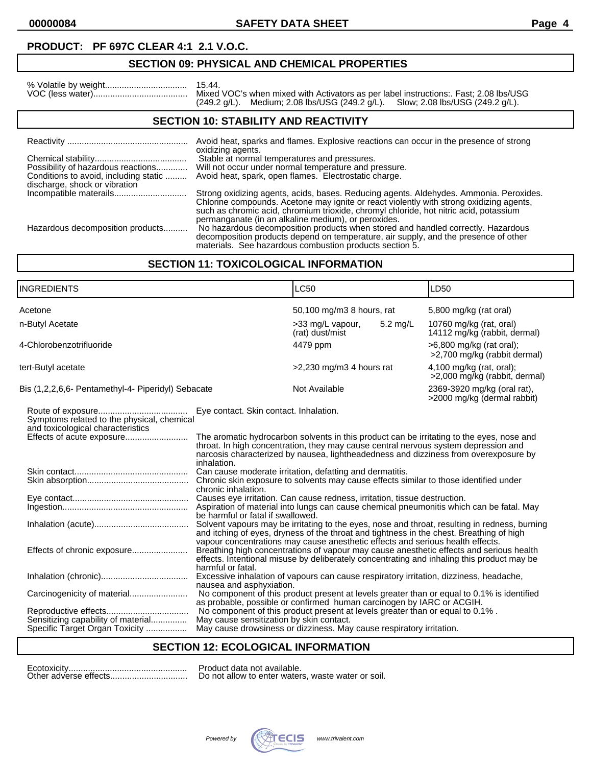**00000084 SAFETY DATA SHEET Page 4**

# **PRODUCT: PF 697C CLEAR 4:1 2.1 V.O.C.**

# **SECTION 09: PHYSICAL AND CHEMICAL PROPERTIES**

|                                      | Mixed VOC's when mixed with Activators as per label instructions:. Fast: 2.08 lbs/USG                           |  |  |
|--------------------------------------|-----------------------------------------------------------------------------------------------------------------|--|--|
|                                      | $(249.2 \text{ g/L})$ . Medium; 2.08 lbs/USG $(249.2 \text{ g/L})$ . Slow; 2.08 lbs/USG $(249.2 \text{ g/L})$ . |  |  |
| CECTION 40. CTADILITY AND DEACTIVITY |                                                                                                                 |  |  |

#### **SECTION 10: STABILITY AND REACTIVITY**

|                                                                     | Avoid heat, sparks and flames. Explosive reactions can occur in the presence of strong                                                                                                                                             |
|---------------------------------------------------------------------|------------------------------------------------------------------------------------------------------------------------------------------------------------------------------------------------------------------------------------|
| Possibility of hazardous reactions<br>discharge, shock or vibration | oxidizing agents.<br>Stable at normal temperatures and pressures.<br>Will not occur under normal temperature and pressure.<br>Conditions to avoid, including static  Avoid heat, spark, open flames. Electrostatic charge.         |
|                                                                     | Strong oxidizing agents, acids, bases. Reducing agents. Aldehydes. Ammonia. Peroxides.<br>Chlorine compounds. Acetone may ignite or react violently with strong oxidizing agents,                                                  |
|                                                                     | such as chromic acid, chromium trioxide, chromyl chloride, hot nitric acid, potassium<br>permanganate (in an alkaline medium), or peroxides.                                                                                       |
| Hazardous decomposition products                                    | No hazardous decomposition products when stored and handled correctly. Hazardous<br>decomposition products depend on temperature, air supply, and the presence of other<br>materials. See hazardous combustion products section 5. |

## **SECTION 11: TOXICOLOGICAL INFORMATION**

| INGREDIENTS                                                                     |                                                                                                                                                                                                                                                                                              | <b>LC50</b>                         |            | LD50                                                       |
|---------------------------------------------------------------------------------|----------------------------------------------------------------------------------------------------------------------------------------------------------------------------------------------------------------------------------------------------------------------------------------------|-------------------------------------|------------|------------------------------------------------------------|
| Acetone                                                                         |                                                                                                                                                                                                                                                                                              | 50,100 mg/m3 8 hours, rat           |            | 5,800 mg/kg (rat oral)                                     |
| n-Butyl Acetate                                                                 |                                                                                                                                                                                                                                                                                              | >33 mg/L vapour,<br>(rat) dust/mist | $5.2$ mg/L | 10760 mg/kg (rat, oral)<br>14112 mg/kg (rabbit, dermal)    |
| 4-Chlorobenzotrifluoride                                                        |                                                                                                                                                                                                                                                                                              | 4479 ppm                            |            | $>6,800$ mg/kg (rat oral);<br>>2,700 mg/kg (rabbit dermal) |
| tert-Butyl acetate                                                              |                                                                                                                                                                                                                                                                                              | >2,230 mg/m3 4 hours rat            |            | 4,100 mg/kg (rat, oral);<br>>2,000 mg/kg (rabbit, dermal)  |
| Bis (1,2,2,6,6- Pentamethyl-4- Piperidyl) Sebacate                              |                                                                                                                                                                                                                                                                                              | Not Available                       |            | 2369-3920 mg/kg (oral rat),<br>>2000 mg/kg (dermal rabbit) |
| Symptoms related to the physical, chemical<br>and toxicological characteristics | Eye contact. Skin contact. Inhalation.                                                                                                                                                                                                                                                       |                                     |            |                                                            |
| Effects of acute exposure                                                       | The aromatic hydrocarbon solvents in this product can be irritating to the eyes, nose and<br>throat. In high concentration, they may cause central nervous system depression and<br>narcosis characterized by nausea, lightheadedness and dizziness from overexposure by<br>inhalation.      |                                     |            |                                                            |
|                                                                                 | Can cause moderate irritation, defatting and dermatitis.<br>Chronic skin exposure to solvents may cause effects similar to those identified under<br>chronic inhalation.                                                                                                                     |                                     |            |                                                            |
|                                                                                 | Causes eye irritation. Can cause redness, irritation, tissue destruction.<br>Aspiration of material into lungs can cause chemical pneumonitis which can be fatal. May<br>be harmful or fatal if swallowed.                                                                                   |                                     |            |                                                            |
|                                                                                 | Solvent vapours may be irritating to the eyes, nose and throat, resulting in redness, burning<br>and itching of eyes, dryness of the throat and tightness in the chest. Breathing of high                                                                                                    |                                     |            |                                                            |
| Effects of chronic exposure                                                     | vapour concentrations may cause anesthetic effects and serious health effects.<br>Breathing high concentrations of vapour may cause anesthetic effects and serious health<br>effects. Intentional misuse by deliberately concentrating and inhaling this product may be<br>harmful or fatal. |                                     |            |                                                            |
|                                                                                 | Excessive inhalation of vapours can cause respiratory irritation, dizziness, headache,                                                                                                                                                                                                       |                                     |            |                                                            |
| Carcinogenicity of material                                                     | nausea and asphyxiation.<br>No component of this product present at levels greater than or equal to 0.1% is identified<br>as probable, possible or confirmed human carcinogen by IARC or ACGIH.                                                                                              |                                     |            |                                                            |
| Sensitizing capability of material<br>Specific Target Organ Toxicity            | No component of this product present at levels greater than or equal to 0.1%.<br>May cause sensitization by skin contact.<br>May cause drowsiness or dizziness. May cause respiratory irritation.                                                                                            |                                     |            |                                                            |

# **SECTION 12: ECOLOGICAL INFORMATION**

Other adverse effects................................ Do not allow to enter waters, waste water or soil.